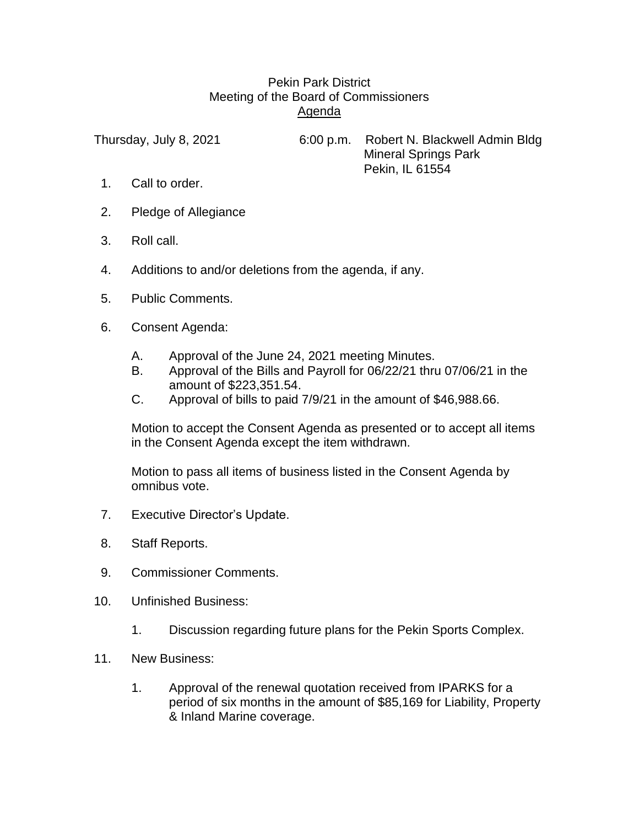## Pekin Park District Meeting of the Board of Commissioners Agenda

Thursday, July 8, 2021 6:00 p.m. Robert N. Blackwell Admin Bldg Mineral Springs Park Pekin, IL 61554

- 1. Call to order.
- 2. Pledge of Allegiance
- 3. Roll call.
- 4. Additions to and/or deletions from the agenda, if any.
- 5. Public Comments.
- 6. Consent Agenda:
	- A. Approval of the June 24, 2021 meeting Minutes.
	- B. Approval of the Bills and Payroll for 06/22/21 thru 07/06/21 in the amount of \$223,351.54.
	- C. Approval of bills to paid 7/9/21 in the amount of \$46,988.66.

Motion to accept the Consent Agenda as presented or to accept all items in the Consent Agenda except the item withdrawn.

Motion to pass all items of business listed in the Consent Agenda by omnibus vote.

- 7. Executive Director's Update.
- 8. Staff Reports.
- 9. Commissioner Comments.
- 10. Unfinished Business:
	- 1. Discussion regarding future plans for the Pekin Sports Complex.
- 11. New Business:
	- 1. Approval of the renewal quotation received from IPARKS for a period of six months in the amount of \$85,169 for Liability, Property & Inland Marine coverage.